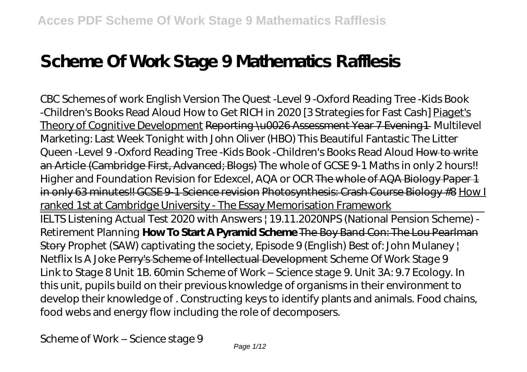# **Scheme Of Work Stage 9 Mathematics Rafflesis**

*CBC Schemes of work English Version The Quest -Level 9 -Oxford Reading Tree -Kids Book -Children's Books Read Aloud How to Get RICH in 2020 [3 Strategies for Fast Cash]* Piaget's Theory of Cognitive Development Reporting \u0026 Assessment Year 7 Evening1 Multilevel Marketing: Last Week Tonight with John Oliver (HBO) *This Beautiful Fantastic The Litter Queen -Level 9 -Oxford Reading Tree -Kids Book -Children's Books Read Aloud* How to write an Article (Cambridge First, Advanced; Blogs) The whole of GCSE 9-1 Maths in only 2 hours!! Higher and Foundation Revision for Edexcel, AQA or OCR The whole of AQA Biology Paper 1 in only 63 minutes!! GCSE 9-1 Science revision Photosynthesis: Crash Course Biology #8 How I ranked 1st at Cambridge University - The Essay Memorisation Framework IELTS Listening Actual Test 2020 with Answers | 19.11.2020*NPS (National Pension Scheme) - Retirement Planning* **How To Start A Pyramid Scheme** The Boy Band Con: The Lou Pearlman Story *Prophet (SAW) captivating the society, Episode 9 (English) Best of: John Mulaney | Netflix Is A Joke* Perry's Scheme of Intellectual Development *Scheme Of Work Stage 9* Link to Stage 8 Unit 1B. 60min Scheme of Work – Science stage 9. Unit 3A: 9.7 Ecology. In this unit, pupils build on their previous knowledge of organisms in their environment to develop their knowledge of . Constructing keys to identify plants and animals. Food chains, food webs and energy flow including the role of decomposers.

*Scheme of Work – Science stage 9*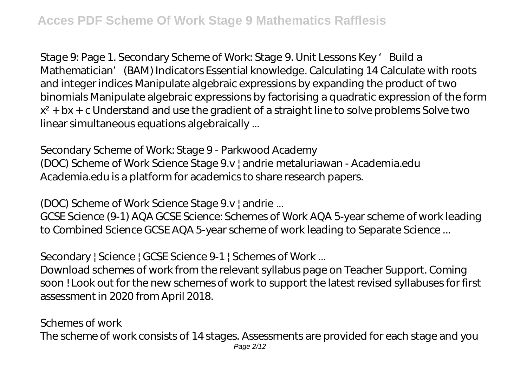Stage 9: Page 1. Secondary Scheme of Work: Stage 9. Unit Lessons Key 'Build a Mathematician' (BAM) Indicators Essential knowledge. Calculating 14 Calculate with roots and integer indices Manipulate algebraic expressions by expanding the product of two binomials Manipulate algebraic expressions by factorising a quadratic expression of the form  $x^2$  + bx + c Understand and use the gradient of a straight line to solve problems Solve two linear simultaneous equations algebraically ...

# *Secondary Scheme of Work: Stage 9 - Parkwood Academy*

(DOC) Scheme of Work Science Stage 9.v | andrie metaluriawan - Academia.edu Academia.edu is a platform for academics to share research papers.

#### *(DOC) Scheme of Work Science Stage 9.v | andrie ...*

GCSE Science (9-1) AQA GCSE Science: Schemes of Work AQA 5-year scheme of work leading to Combined Science GCSE AQA 5-year scheme of work leading to Separate Science ...

# *Secondary | Science | GCSE Science 9-1 | Schemes of Work ...*

Download schemes of work from the relevant syllabus page on Teacher Support. Coming soon ! Look out for the new schemes of work to support the latest revised syllabuses for first assessment in 2020 from April 2018.

#### *Schemes of work*

The scheme of work consists of 14 stages. Assessments are provided for each stage and you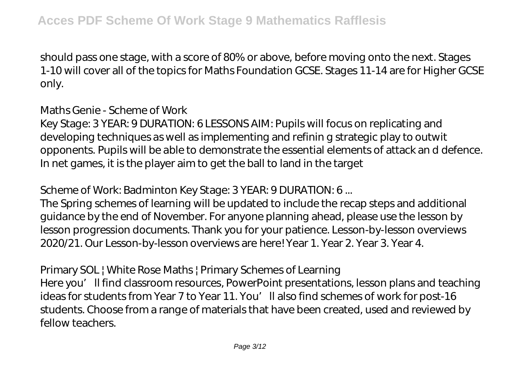should pass one stage, with a score of 80% or above, before moving onto the next. Stages 1-10 will cover all of the topics for Maths Foundation GCSE. Stages 11-14 are for Higher GCSE only.

#### *Maths Genie - Scheme of Work*

Key Stage: 3 YEAR: 9 DURATION: 6 LESSONS AIM: Pupils will focus on replicating and developing techniques as well as implementing and refinin g strategic play to outwit opponents. Pupils will be able to demonstrate the essential elements of attack an d defence. In net games, it is the player aim to get the ball to land in the target

# *Scheme of Work: Badminton Key Stage: 3 YEAR: 9 DURATION: 6 ...*

The Spring schemes of learning will be updated to include the recap steps and additional guidance by the end of November. For anyone planning ahead, please use the lesson by lesson progression documents. Thank you for your patience. Lesson-by-lesson overviews 2020/21. Our Lesson-by-lesson overviews are here! Year 1. Year 2. Year 3. Year 4.

#### *Primary SOL | White Rose Maths | Primary Schemes of Learning*

Here you'll find classroom resources, PowerPoint presentations, lesson plans and teaching ideas for students from Year 7 to Year 11. You'll also find schemes of work for post-16 students. Choose from a range of materials that have been created, used and reviewed by fellow teachers.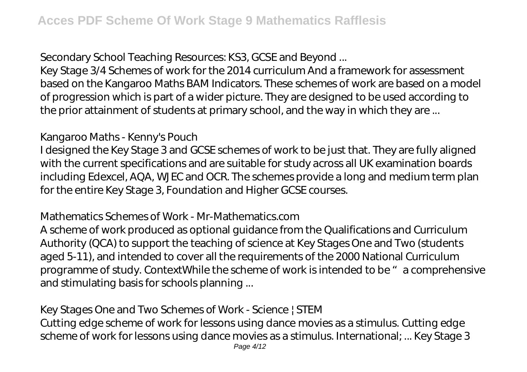# *Secondary School Teaching Resources: KS3, GCSE and Beyond ...*

Key Stage 3/4 Schemes of work for the 2014 curriculum And a framework for assessment based on the Kangaroo Maths BAM Indicators. These schemes of work are based on a model of progression which is part of a wider picture. They are designed to be used according to the prior attainment of students at primary school, and the way in which they are ...

# *Kangaroo Maths - Kenny's Pouch*

I designed the Key Stage 3 and GCSE schemes of work to be just that. They are fully aligned with the current specifications and are suitable for study across all UK examination boards including Edexcel, AQA, WJEC and OCR. The schemes provide a long and medium term plan for the entire Key Stage 3, Foundation and Higher GCSE courses.

#### *Mathematics Schemes of Work - Mr-Mathematics.com*

A scheme of work produced as optional guidance from the Qualifications and Curriculum Authority (QCA) to support the teaching of science at Key Stages One and Two (students aged 5-11), and intended to cover all the requirements of the 2000 National Curriculum programme of study. ContextWhile the scheme of work is intended to be "a comprehensive and stimulating basis for schools planning ...

# *Key Stages One and Two Schemes of Work - Science | STEM*

Cutting edge scheme of work for lessons using dance movies as a stimulus. Cutting edge scheme of work for lessons using dance movies as a stimulus. International; ... Key Stage 3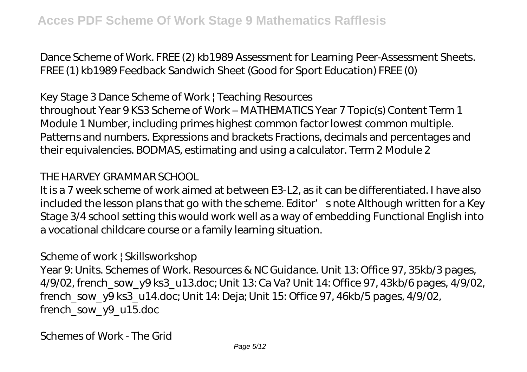Dance Scheme of Work. FREE (2) kb1989 Assessment for Learning Peer-Assessment Sheets. FREE (1) kb1989 Feedback Sandwich Sheet (Good for Sport Education) FREE (0)

#### *Key Stage 3 Dance Scheme of Work | Teaching Resources*

throughout Year 9 KS3 Scheme of Work – MATHEMATICS Year 7 Topic(s) Content Term 1 Module 1 Number, including primes highest common factor lowest common multiple. Patterns and numbers. Expressions and brackets Fractions, decimals and percentages and their equivalencies. BODMAS, estimating and using a calculator. Term 2 Module 2

#### *THE HARVEY GRAMMAR SCHOOL*

It is a 7 week scheme of work aimed at between E3-L2, as it can be differentiated. I have also included the lesson plans that go with the scheme. Editor' snote Although written for a Key Stage 3/4 school setting this would work well as a way of embedding Functional English into a vocational childcare course or a family learning situation.

#### *Scheme of work | Skillsworkshop*

Year 9: Units. Schemes of Work. Resources & NC Guidance. Unit 13: Office 97, 35kb/3 pages, 4/9/02, french\_sow\_y9 ks3\_u13.doc; Unit 13: Ca Va? Unit 14: Office 97, 43kb/6 pages, 4/9/02, french\_sow\_y9 ks3\_u14.doc; Unit 14: Deja; Unit 15: Office 97, 46kb/5 pages, 4/9/02, french\_sow\_y9\_u15.doc

*Schemes of Work - The Grid*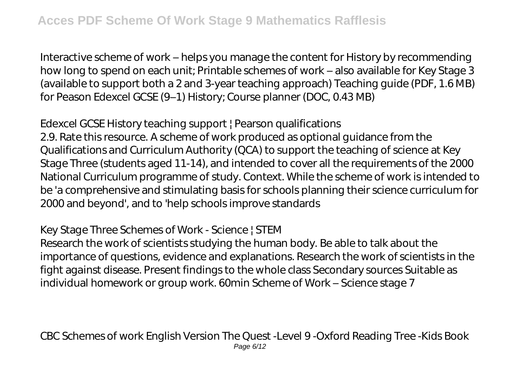Interactive scheme of work – helps you manage the content for History by recommending how long to spend on each unit; Printable schemes of work – also available for Key Stage 3 (available to support both a 2 and 3-year teaching approach) Teaching guide (PDF, 1.6 MB) for Peason Edexcel GCSE (9–1) History; Course planner (DOC, 0.43 MB)

# *Edexcel GCSE History teaching support | Pearson qualifications*

2.9. Rate this resource. A scheme of work produced as optional guidance from the Qualifications and Curriculum Authority (QCA) to support the teaching of science at Key Stage Three (students aged 11-14), and intended to cover all the requirements of the 2000 National Curriculum programme of study. Context. While the scheme of work is intended to be 'a comprehensive and stimulating basis for schools planning their science curriculum for 2000 and beyond', and to 'help schools improve standards

# *Key Stage Three Schemes of Work - Science | STEM*

Research the work of scientists studying the human body. Be able to talk about the importance of questions, evidence and explanations. Research the work of scientists in the fight against disease. Present findings to the whole class Secondary sources Suitable as individual homework or group work. 60min Scheme of Work – Science stage 7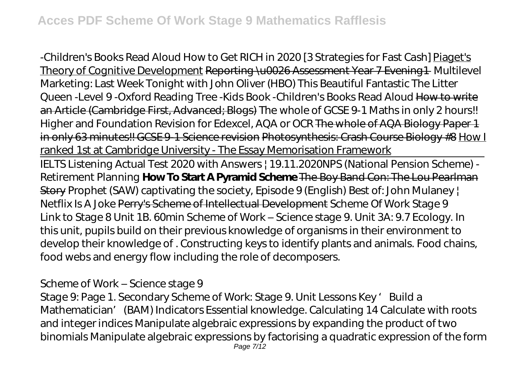*-Children's Books Read Aloud How to Get RICH in 2020 [3 Strategies for Fast Cash]* Piaget's Theory of Cognitive Development Reporting \u0026 Assessment Year 7 Evening 1 Multilevel Marketing: Last Week Tonight with John Oliver (HBO) *This Beautiful Fantastic The Litter Queen -Level 9 -Oxford Reading Tree -Kids Book -Children's Books Read Aloud* How to write an Article (Cambridge First, Advanced; Blogs) The whole of GCSE 9-1 Maths in only 2 hours!! Higher and Foundation Revision for Edexcel, AQA or OCR The whole of AQA Biology Paper 1 in only 63 minutes!! GCSE 9-1 Science revision Photosynthesis: Crash Course Biology #8 How I ranked 1st at Cambridge University - The Essay Memorisation Framework

IELTS Listening Actual Test 2020 with Answers | 19.11.2020*NPS (National Pension Scheme) - Retirement Planning* **How To Start A Pyramid Scheme** The Boy Band Con: The Lou Pearlman Story *Prophet (SAW) captivating the society, Episode 9 (English) Best of: John Mulaney | Netflix Is A Joke* Perry's Scheme of Intellectual Development *Scheme Of Work Stage 9* Link to Stage 8 Unit 1B. 60min Scheme of Work – Science stage 9. Unit 3A: 9.7 Ecology. In this unit, pupils build on their previous knowledge of organisms in their environment to develop their knowledge of . Constructing keys to identify plants and animals. Food chains, food webs and energy flow including the role of decomposers.

#### *Scheme of Work – Science stage 9*

Stage 9: Page 1. Secondary Scheme of Work: Stage 9. Unit Lessons Key 'Build a Mathematician' (BAM) Indicators Essential knowledge. Calculating 14 Calculate with roots and integer indices Manipulate algebraic expressions by expanding the product of two binomials Manipulate algebraic expressions by factorising a quadratic expression of the form Page 7/12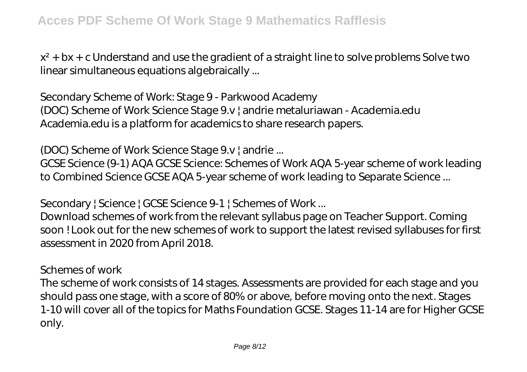$x^2$  + bx + c Understand and use the gradient of a straight line to solve problems Solve two linear simultaneous equations algebraically ...

*Secondary Scheme of Work: Stage 9 - Parkwood Academy*

(DOC) Scheme of Work Science Stage 9.v | andrie metaluriawan - Academia.edu Academia.edu is a platform for academics to share research papers.

#### *(DOC) Scheme of Work Science Stage 9.v | andrie ...*

GCSE Science (9-1) AQA GCSE Science: Schemes of Work AQA 5-year scheme of work leading to Combined Science GCSE AQA 5-year scheme of work leading to Separate Science ...

#### *Secondary | Science | GCSE Science 9-1 | Schemes of Work ...*

Download schemes of work from the relevant syllabus page on Teacher Support. Coming soon ! Look out for the new schemes of work to support the latest revised syllabuses for first assessment in 2020 from April 2018.

#### *Schemes of work*

The scheme of work consists of 14 stages. Assessments are provided for each stage and you should pass one stage, with a score of 80% or above, before moving onto the next. Stages 1-10 will cover all of the topics for Maths Foundation GCSE. Stages 11-14 are for Higher GCSE only.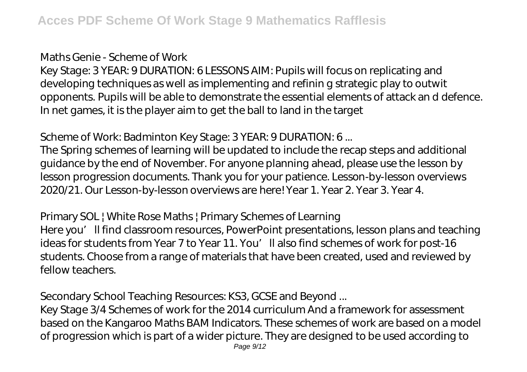#### *Maths Genie - Scheme of Work*

Key Stage: 3 YEAR: 9 DURATION: 6 LESSONS AIM: Pupils will focus on replicating and developing techniques as well as implementing and refinin g strategic play to outwit opponents. Pupils will be able to demonstrate the essential elements of attack an d defence. In net games, it is the player aim to get the ball to land in the target

# *Scheme of Work: Badminton Key Stage: 3 YEAR: 9 DURATION: 6 ...*

The Spring schemes of learning will be updated to include the recap steps and additional guidance by the end of November. For anyone planning ahead, please use the lesson by lesson progression documents. Thank you for your patience. Lesson-by-lesson overviews 2020/21. Our Lesson-by-lesson overviews are here! Year 1. Year 2. Year 3. Year 4.

# *Primary SOL | White Rose Maths | Primary Schemes of Learning*

Here you'll find classroom resources, PowerPoint presentations, lesson plans and teaching ideas for students from Year 7 to Year 11. You'll also find schemes of work for post-16 students. Choose from a range of materials that have been created, used and reviewed by fellow teachers.

# *Secondary School Teaching Resources: KS3, GCSE and Beyond ...*

Key Stage 3/4 Schemes of work for the 2014 curriculum And a framework for assessment based on the Kangaroo Maths BAM Indicators. These schemes of work are based on a model of progression which is part of a wider picture. They are designed to be used according to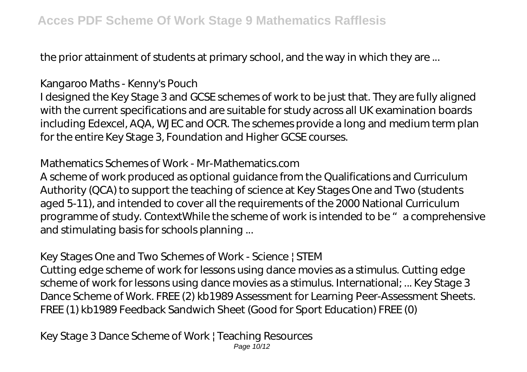the prior attainment of students at primary school, and the way in which they are ...

# *Kangaroo Maths - Kenny's Pouch*

I designed the Key Stage 3 and GCSE schemes of work to be just that. They are fully aligned with the current specifications and are suitable for study across all UK examination boards including Edexcel, AQA, WJEC and OCR. The schemes provide a long and medium term plan for the entire Key Stage 3, Foundation and Higher GCSE courses.

# *Mathematics Schemes of Work - Mr-Mathematics.com*

A scheme of work produced as optional guidance from the Qualifications and Curriculum Authority (QCA) to support the teaching of science at Key Stages One and Two (students aged 5-11), and intended to cover all the requirements of the 2000 National Curriculum programme of study. ContextWhile the scheme of work is intended to be "a comprehensive and stimulating basis for schools planning ...

# *Key Stages One and Two Schemes of Work - Science | STEM*

Cutting edge scheme of work for lessons using dance movies as a stimulus. Cutting edge scheme of work for lessons using dance movies as a stimulus. International; ... Key Stage 3 Dance Scheme of Work. FREE (2) kb1989 Assessment for Learning Peer-Assessment Sheets. FREE (1) kb1989 Feedback Sandwich Sheet (Good for Sport Education) FREE (0)

*Key Stage 3 Dance Scheme of Work | Teaching Resources* Page 10/12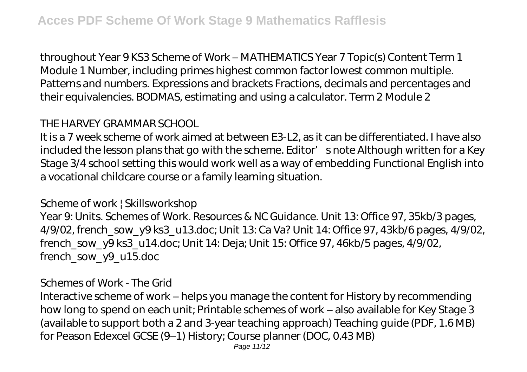throughout Year 9 KS3 Scheme of Work – MATHEMATICS Year 7 Topic(s) Content Term 1 Module 1 Number, including primes highest common factor lowest common multiple. Patterns and numbers. Expressions and brackets Fractions, decimals and percentages and their equivalencies. BODMAS, estimating and using a calculator. Term 2 Module 2

# *THE HARVEY GRAMMAR SCHOOL*

It is a 7 week scheme of work aimed at between E3-L2, as it can be differentiated. I have also included the lesson plans that go with the scheme. Editor' snote Although written for a Key Stage 3/4 school setting this would work well as a way of embedding Functional English into a vocational childcare course or a family learning situation.

#### *Scheme of work | Skillsworkshop*

Year 9: Units. Schemes of Work. Resources & NC Guidance. Unit 13: Office 97, 35kb/3 pages, 4/9/02, french\_sow\_y9 ks3\_u13.doc; Unit 13: Ca Va? Unit 14: Office 97, 43kb/6 pages, 4/9/02, french\_sow\_y9 ks3\_u14.doc; Unit 14: Deja; Unit 15: Office 97, 46kb/5 pages, 4/9/02, french\_sow\_y9\_u15.doc

#### *Schemes of Work - The Grid*

Interactive scheme of work – helps you manage the content for History by recommending how long to spend on each unit; Printable schemes of work – also available for Key Stage 3 (available to support both a 2 and 3-year teaching approach) Teaching guide (PDF, 1.6 MB) for Peason Edexcel GCSE (9–1) History; Course planner (DOC, 0.43 MB)